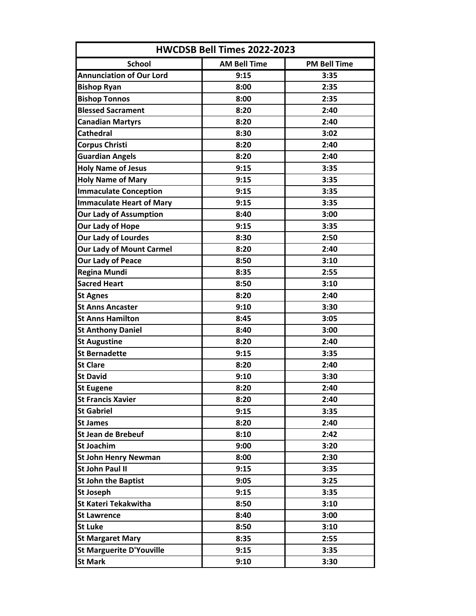| HWCDSB Bell Times 2022-2023     |                     |                     |
|---------------------------------|---------------------|---------------------|
| <b>School</b>                   | <b>AM Bell Time</b> | <b>PM Bell Time</b> |
| <b>Annunciation of Our Lord</b> | 9:15                | 3:35                |
| <b>Bishop Ryan</b>              | 8:00                | 2:35                |
| <b>Bishop Tonnos</b>            | 8:00                | 2:35                |
| <b>Blessed Sacrament</b>        | 8:20                | 2:40                |
| <b>Canadian Martyrs</b>         | 8:20                | 2:40                |
| <b>Cathedral</b>                | 8:30                | 3:02                |
| <b>Corpus Christi</b>           | 8:20                | 2:40                |
| <b>Guardian Angels</b>          | 8:20                | 2:40                |
| <b>Holy Name of Jesus</b>       | 9:15                | 3:35                |
| <b>Holy Name of Mary</b>        | 9:15                | 3:35                |
| <b>Immaculate Conception</b>    | 9:15                | 3:35                |
| <b>Immaculate Heart of Mary</b> | 9:15                | 3:35                |
| <b>Our Lady of Assumption</b>   | 8:40                | 3:00                |
| Our Lady of Hope                | 9:15                | 3:35                |
| <b>Our Lady of Lourdes</b>      | 8:30                | 2:50                |
| <b>Our Lady of Mount Carmel</b> | 8:20                | 2:40                |
| <b>Our Lady of Peace</b>        | 8:50                | 3:10                |
| <b>Regina Mundi</b>             | 8:35                | 2:55                |
| <b>Sacred Heart</b>             | 8:50                | 3:10                |
| <b>St Agnes</b>                 | 8:20                | 2:40                |
| <b>St Anns Ancaster</b>         | 9:10                | 3:30                |
| <b>St Anns Hamilton</b>         | 8:45                | 3:05                |
| <b>St Anthony Daniel</b>        | 8:40                | 3:00                |
| <b>St Augustine</b>             | 8:20                | 2:40                |
| <b>St Bernadette</b>            | 9:15                | 3:35                |
| <b>St Clare</b>                 | 8:20                | 2:40                |
| <b>St David</b>                 | 9:10                | 3:30                |
| <b>St Eugene</b>                | 8:20                | 2:40                |
| <b>St Francis Xavier</b>        | 8:20                | 2:40                |
| <b>St Gabriel</b>               | 9:15                | 3:35                |
| <b>St James</b>                 | 8:20                | 2:40                |
| <b>St Jean de Brebeuf</b>       | 8:10                | 2:42                |
| <b>St Joachim</b>               | 9:00                | 3:20                |
| <b>St John Henry Newman</b>     | 8:00                | 2:30                |
| <b>St John Paul II</b>          | 9:15                | 3:35                |
| <b>St John the Baptist</b>      | 9:05                | 3:25                |
| St Joseph                       | 9:15                | 3:35                |
| <b>St Kateri Tekakwitha</b>     | 8:50                | 3:10                |
| <b>St Lawrence</b>              | 8:40                | 3:00                |
| <b>St Luke</b>                  | 8:50                | 3:10                |
| <b>St Margaret Mary</b>         | 8:35                | 2:55                |
| <b>St Marguerite D'Youville</b> | 9:15                | 3:35                |
| <b>St Mark</b>                  | 9:10                | 3:30                |